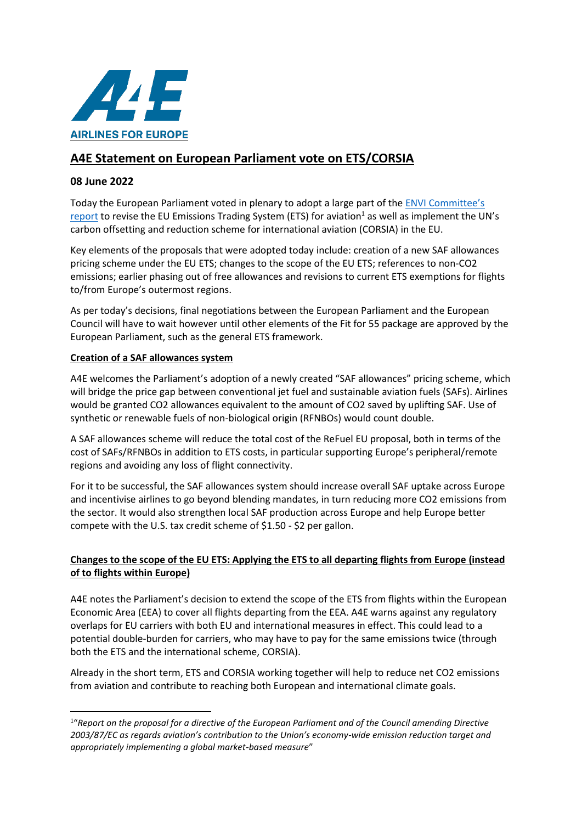

# **A4E Statement on European Parliament vote on ETS/CORSIA**

## **08 June 2022**

Today the European Parliament voted in plenary to adopt a large part of the **ENVI Committee's** [report](https://www.europarl.europa.eu/doceo/document/A-9-2022-0155_EN.html) to revise the EU Emissions Trading System (ETS) for aviation<sup>1</sup> as well as implement the UN's carbon offsetting and reduction scheme for international aviation (CORSIA) in the EU.

Key elements of the proposals that were adopted today include: creation of a new SAF allowances pricing scheme under the EU ETS; changes to the scope of the EU ETS; references to non-CO2 emissions; earlier phasing out of free allowances and revisions to current ETS exemptions for flights to/from Europe's outermost regions.

As per today's decisions, final negotiations between the European Parliament and the European Council will have to wait however until other elements of the Fit for 55 package are approved by the European Parliament, such as the general ETS framework.

### **Creation of a SAF allowances system**

A4E welcomes the Parliament's adoption of a newly created "SAF allowances" pricing scheme, which will bridge the price gap between conventional jet fuel and sustainable aviation fuels (SAFs). Airlines would be granted CO2 allowances equivalent to the amount of CO2 saved by uplifting SAF. Use of synthetic or renewable fuels of non-biological origin (RFNBOs) would count double.

A SAF allowances scheme will reduce the total cost of the ReFuel EU proposal, both in terms of the cost of SAFs/RFNBOs in addition to ETS costs, in particular supporting Europe's peripheral/remote regions and avoiding any loss of flight connectivity.

For it to be successful, the SAF allowances system should increase overall SAF uptake across Europe and incentivise airlines to go beyond blending mandates, in turn reducing more CO2 emissions from the sector. It would also strengthen local SAF production across Europe and help Europe better compete with the U.S. tax credit scheme of \$1.50 - \$2 per gallon.

## **Changes to the scope of the EU ETS: Applying the ETS to all departing flights from Europe (instead of to flights within Europe)**

A4E notes the Parliament's decision to extend the scope of the ETS from flights within the European Economic Area (EEA) to cover all flights departing from the EEA. A4E warns against any regulatory overlaps for EU carriers with both EU and international measures in effect. This could lead to a potential double-burden for carriers, who may have to pay for the same emissions twice (through both the ETS and the international scheme, CORSIA).

Already in the short term, ETS and CORSIA working together will help to reduce net CO2 emissions from aviation and contribute to reaching both European and international climate goals.

<sup>&</sup>lt;sup>1</sup> Report on the proposal for a directive of the European Parliament and of the Council amending Directive *2003/87/EC as regards aviation's contribution to the Union's economy-wide emission reduction target and appropriately implementing a global market-based measure*"